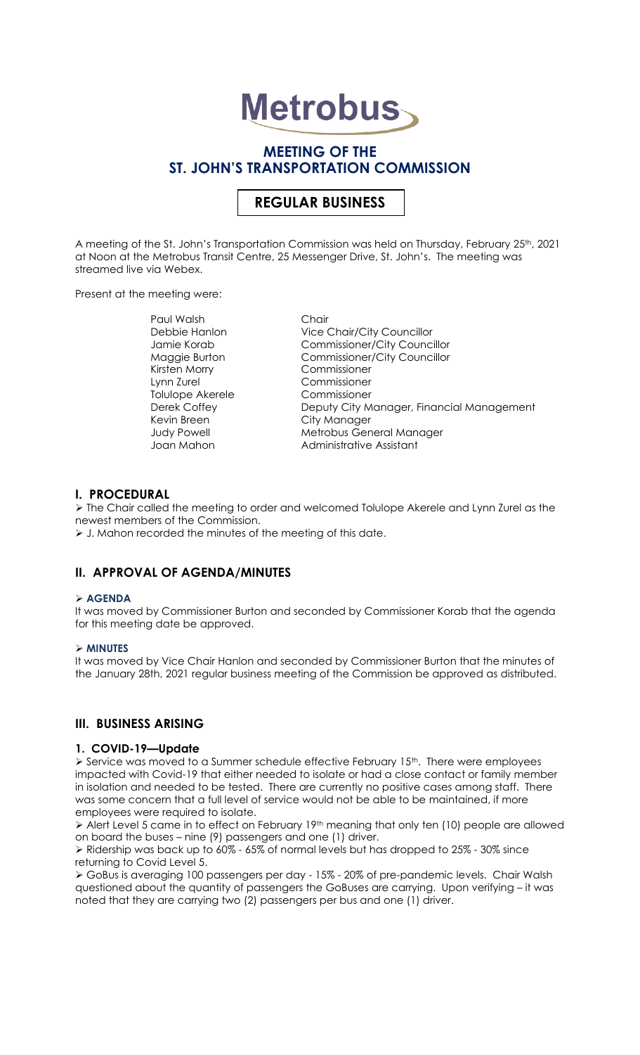# **Metrobus**

# **MEETING OF THE ST. JOHN'S TRANSPORTATION COMMISSION**

# **REGULAR BUSINESS**

A meeting of the St. John's Transportation Commission was held on Thursday, February 25<sup>th</sup>, 2021 at Noon at the Metrobus Transit Centre, 25 Messenger Drive, St. John's. The meeting was streamed live via Webex.

Present at the meeting were:

Paul Walsh Chair Kirsten Morry Commissioner Lynn Zurel Commissioner Tolulope Akerele<br>Derek Coffey Kevin Breen City Manager

Debbie Hanlon Vice Chair/City Councillor Jamie Korab Commissioner/City Councillor Maggie Burton Commissioner/City Councillor Deputy City Manager, Financial Management Judy Powell Metrobus General Manager Joan Mahon **Administrative Assistant** 

## **I. PROCEDURAL**

➢ The Chair called the meeting to order and welcomed Tolulope Akerele and Lynn Zurel as the newest members of the Commission.

➢ J. Mahon recorded the minutes of the meeting of this date.

# **II. APPROVAL OF AGENDA/MINUTES**

#### ➢ **AGENDA**

It was moved by Commissioner Burton and seconded by Commissioner Korab that the agenda for this meeting date be approved.

#### ➢ **MINUTES**

It was moved by Vice Chair Hanlon and seconded by Commissioner Burton that the minutes of the January 28th, 2021 regular business meeting of the Commission be approved as distributed.

## **III. BUSINESS ARISING**

#### **1. COVID-19—Update**

 $\triangleright$  Service was moved to a Summer schedule effective February 15<sup>th</sup>. There were employees impacted with Covid-19 that either needed to isolate or had a close contact or family member in isolation and needed to be tested. There are currently no positive cases among staff. There was some concern that a full level of service would not be able to be maintained, if more employees were required to isolate.

➢ Alert Level 5 came in to effect on February 19th meaning that only ten (10) people are allowed on board the buses – nine (9) passengers and one (1) driver.

➢ Ridership was back up to 60% - 65% of normal levels but has dropped to 25% - 30% since returning to Covid Level 5.

➢ GoBus is averaging 100 passengers per day - 15% - 20% of pre-pandemic levels. Chair Walsh questioned about the quantity of passengers the GoBuses are carrying. Upon verifying – it was noted that they are carrying two (2) passengers per bus and one (1) driver.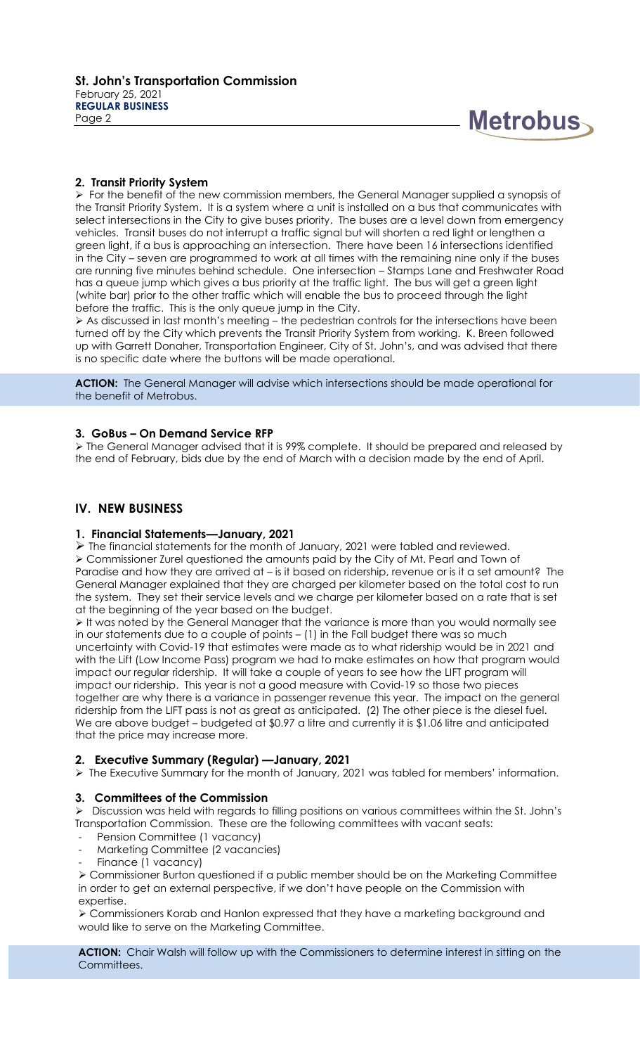

#### **2. Transit Priority System**

➢ For the benefit of the new commission members, the General Manager supplied a synopsis of the Transit Priority System. It is a system where a unit is installed on a bus that communicates with select intersections in the City to give buses priority. The buses are a level down from emergency vehicles. Transit buses do not interrupt a traffic signal but will shorten a red light or lengthen a green light, if a bus is approaching an intersection. There have been 16 intersections identified in the City – seven are programmed to work at all times with the remaining nine only if the buses are running five minutes behind schedule. One intersection – Stamps Lane and Freshwater Road has a queue jump which gives a bus priority at the traffic light. The bus will get a green light (white bar) prior to the other traffic which will enable the bus to proceed through the light before the traffic. This is the only queue jump in the City.

➢ As discussed in last month's meeting – the pedestrian controls for the intersections have been turned off by the City which prevents the Transit Priority System from working. K. Breen followed up with Garrett Donaher, Transportation Engineer, City of St. John's, and was advised that there is no specific date where the buttons will be made operational.

**ACTION:** The General Manager will advise which intersections should be made operational for the benefit of Metrobus.

#### **3. GoBus – On Demand Service RFP**

➢ The General Manager advised that it is 99% complete. It should be prepared and released by the end of February, bids due by the end of March with a decision made by the end of April.

## **IV. NEW BUSINESS**

#### **1. Financial Statements—January, 2021**

 $\triangleright$  The financial statements for the month of January, 2021 were tabled and reviewed. ➢ Commissioner Zurel questioned the amounts paid by the City of Mt. Pearl and Town of Paradise and how they are arrived at – is it based on ridership, revenue or is it a set amount? The General Manager explained that they are charged per kilometer based on the total cost to run the system. They set their service levels and we charge per kilometer based on a rate that is set at the beginning of the year based on the budget.

➢ It was noted by the General Manager that the variance is more than you would normally see in our statements due to a couple of points – (1) in the Fall budget there was so much uncertainty with Covid-19 that estimates were made as to what ridership would be in 2021 and with the Lift (Low Income Pass) program we had to make estimates on how that program would impact our regular ridership. It will take a couple of years to see how the LIFT program will impact our ridership. This year is not a good measure with Covid-19 so those two pieces together are why there is a variance in passenger revenue this year. The impact on the general ridership from the LIFT pass is not as great as anticipated. (2) The other piece is the diesel fuel. We are above budget – budgeted at \$0.97 a litre and currently it is \$1.06 litre and anticipated that the price may increase more.

# **2. Executive Summary (Regular) —January, 2021**

➢ The Executive Summary for the month of January, 2021 was tabled for members' information.

#### **3. Committees of the Commission**

➢ Discussion was held with regards to filling positions on various committees within the St. John's Transportation Commission. These are the following committees with vacant seats:

- Pension Committee (1 vacancy)
- Marketing Committee (2 vacancies)
- Finance (1 vacancy)

➢ Commissioner Burton questioned if a public member should be on the Marketing Committee in order to get an external perspective, if we don't have people on the Commission with expertise.

➢ Commissioners Korab and Hanlon expressed that they have a marketing background and would like to serve on the Marketing Committee.

**ACTION:** Chair Walsh will follow up with the Commissioners to determine interest in sitting on the Committees.